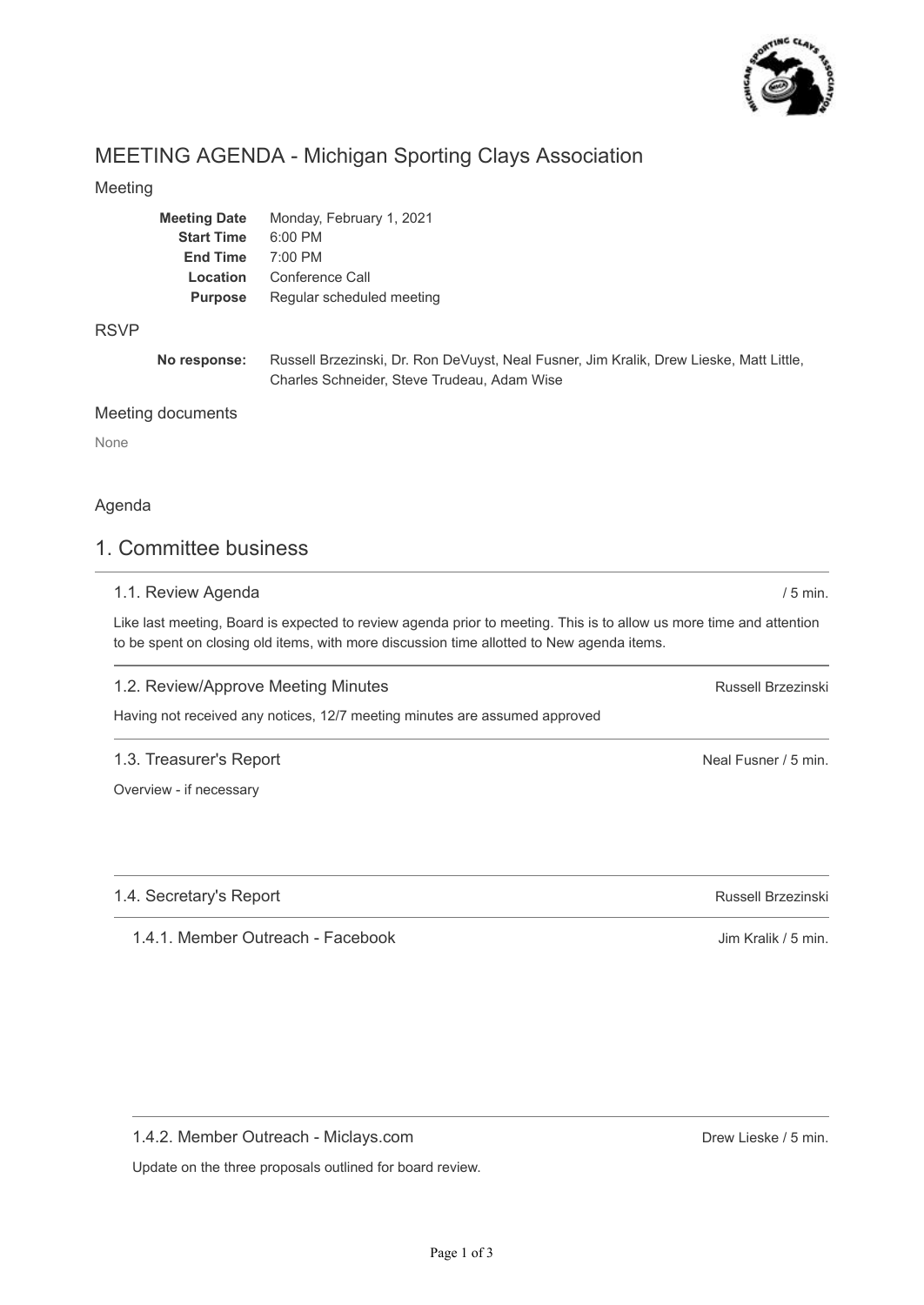

# MEETING AGENDA - Michigan Sporting Clays Association

#### Meeting

| <b>Meeting Date</b> | Monday, February 1, 2021  |
|---------------------|---------------------------|
| <b>Start Time</b>   | $6:00$ PM                 |
| <b>End Time</b>     | 7:00 PM                   |
| Location            | Conference Call           |
| <b>Purpose</b>      | Regular scheduled meeting |
|                     |                           |

#### RSVP

**No response:** Russell Brzezinski, Dr. Ron DeVuyst, Neal Fusner, Jim Kralik, Drew Lieske, Matt Little, Charles Schneider, Steve Trudeau, Adam Wise

#### Meeting documents

None

### Agenda

## 1. Committee business

#### 1.1. Review Agenda

Like last meeting, Board is expected to review agenda prior to meeting. This is to allow us more time and attention to be spent on closing old items, with more discussion time allotted to New agenda items.

#### 1.2. Review/Approve Meeting Minutes

Having not received any notices, 12/7 meeting minutes are assumed approved

#### 1.3. Treasurer's Report

Overview - if necessary

1.4. Secretary's Report

1.4.1. Member Outreach - Facebook

1.4.2. Member Outreach - Miclays.com

Update on the three proposals outlined for board review.

Russell Brzezinski

/ 5 min.

Neal Fusner / 5 min.

Russell Brzezinski

Jim Kralik / 5 min.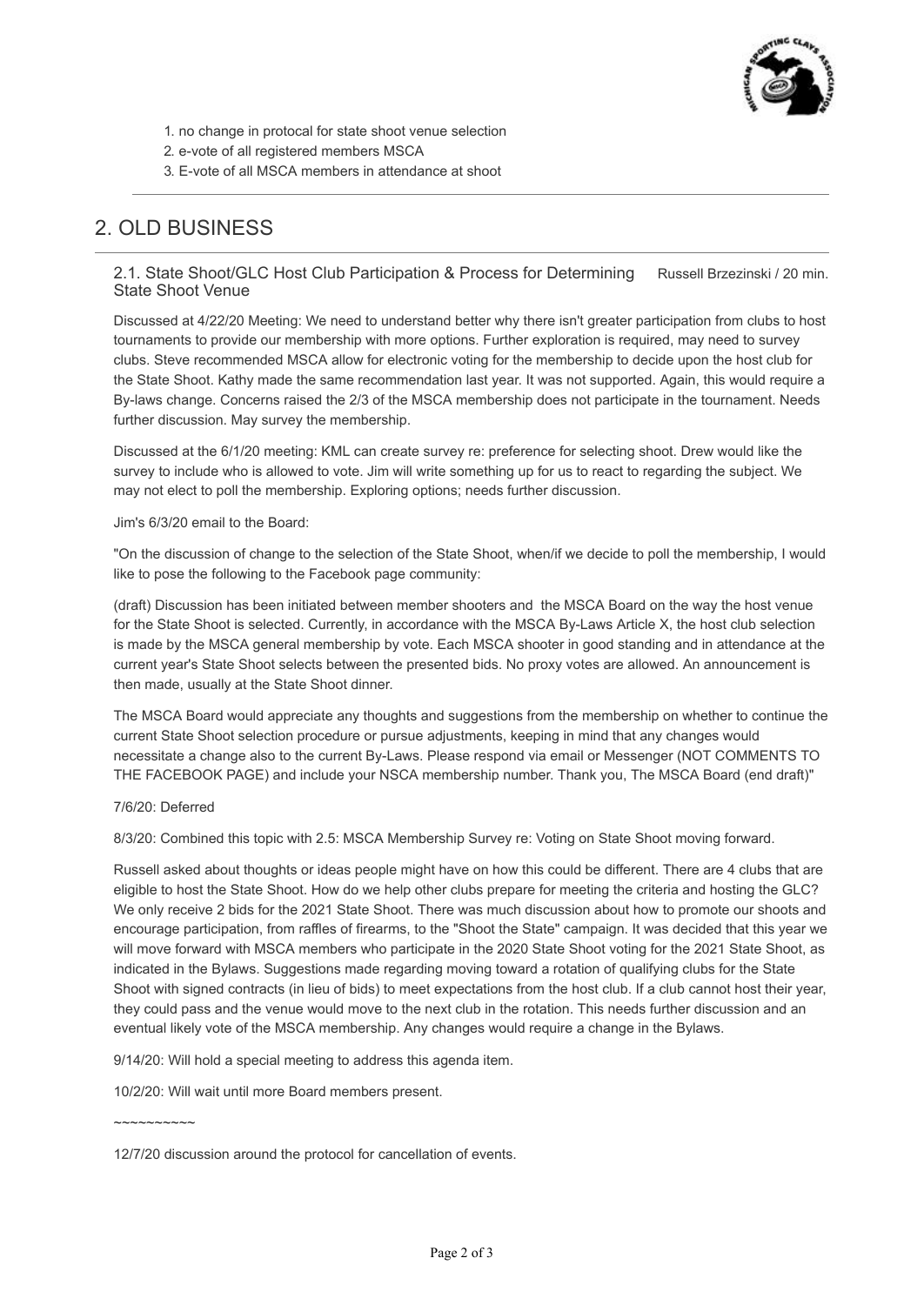

- 1. no change in protocal for state shoot venue selection
- 2. e-vote of all registered members MSCA
- 3. E-vote of all MSCA members in attendance at shoot

# 2. OLD BUSINESS

#### Russell Brzezinski / 20 min. 2.1. State Shoot/GLC Host Club Participation & Process for Determining State Shoot Venue

Discussed at 4/22/20 Meeting: We need to understand better why there isn't greater participation from clubs to host tournaments to provide our membership with more options. Further exploration is required, may need to survey clubs. Steve recommended MSCA allow for electronic voting for the membership to decide upon the host club for the State Shoot. Kathy made the same recommendation last year. It was not supported. Again, this would require a By-laws change. Concerns raised the 2/3 of the MSCA membership does not participate in the tournament. Needs further discussion. May survey the membership.

Discussed at the 6/1/20 meeting: KML can create survey re: preference for selecting shoot. Drew would like the survey to include who is allowed to vote. Jim will write something up for us to react to regarding the subject. We may not elect to poll the membership. Exploring options; needs further discussion.

#### Jim's 6/3/20 email to the Board:

"On the discussion of change to the selection of the State Shoot, when/if we decide to poll the membership, I would like to pose the following to the Facebook page community:

(draft) Discussion has been initiated between member shooters and the MSCA Board on the way the host venue for the State Shoot is selected. Currently, in accordance with the MSCA By-Laws Article X, the host club selection is made by the MSCA general membership by vote. Each MSCA shooter in good standing and in attendance at the current year's State Shoot selects between the presented bids. No proxy votes are allowed. An announcement is then made, usually at the State Shoot dinner.

The MSCA Board would appreciate any thoughts and suggestions from the membership on whether to continue the current State Shoot selection procedure or pursue adjustments, keeping in mind that any changes would necessitate a change also to the current By-Laws. Please respond via email or Messenger (NOT COMMENTS TO THE FACEBOOK PAGE) and include your NSCA membership number. Thank you, The MSCA Board (end draft)"

#### 7/6/20: Deferred

8/3/20: Combined this topic with 2.5: MSCA Membership Survey re: Voting on State Shoot moving forward.

Russell asked about thoughts or ideas people might have on how this could be different. There are 4 clubs that are eligible to host the State Shoot. How do we help other clubs prepare for meeting the criteria and hosting the GLC? We only receive 2 bids for the 2021 State Shoot. There was much discussion about how to promote our shoots and encourage participation, from raffles of firearms, to the "Shoot the State" campaign. It was decided that this year we will move forward with MSCA members who participate in the 2020 State Shoot voting for the 2021 State Shoot, as indicated in the Bylaws. Suggestions made regarding moving toward a rotation of qualifying clubs for the State Shoot with signed contracts (in lieu of bids) to meet expectations from the host club. If a club cannot host their year, they could pass and the venue would move to the next club in the rotation. This needs further discussion and an eventual likely vote of the MSCA membership. Any changes would require a change in the Bylaws.

9/14/20: Will hold a special meeting to address this agenda item.

10/2/20: Will wait until more Board members present.

~~~~~~~~~~

<sup>12/7/20</sup> discussion around the protocol for cancellation of events.